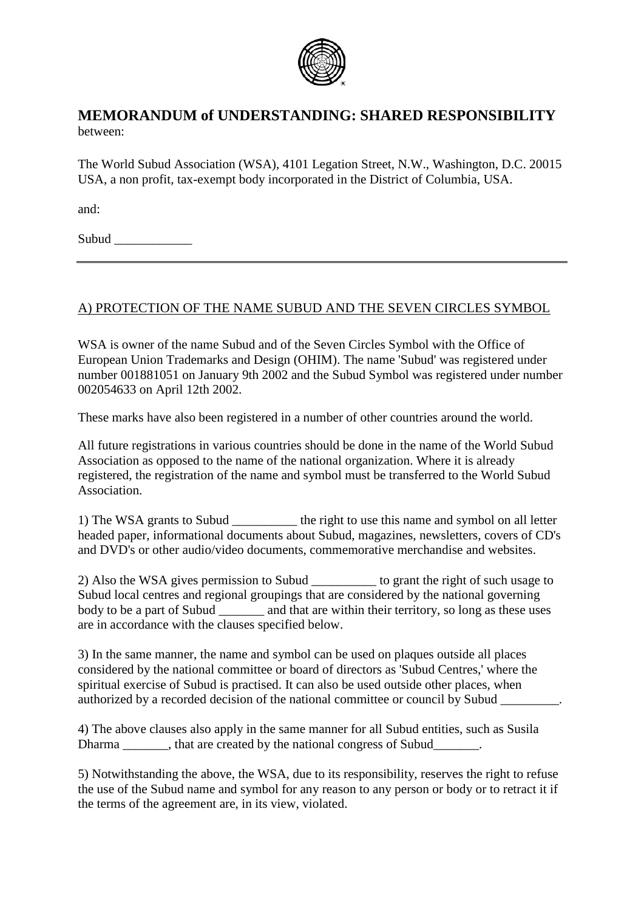

## **MEMORANDUM of UNDERSTANDING: SHARED RESPONSIBILITY** between:

The World Subud Association (WSA), 4101 Legation Street, N.W., Washington, D.C. 20015 USA, a non profit, tax-exempt body incorporated in the District of Columbia, USA.

and:

Subud  $\Box$ 

## A) PROTECTION OF THE NAME SUBUD AND THE SEVEN CIRCLES SYMBOL

WSA is owner of the name Subud and of the Seven Circles Symbol with the Office of European Union Trademarks and Design (OHIM). The name 'Subud' was registered under number 001881051 on January 9th 2002 and the Subud Symbol was registered under number 002054633 on April 12th 2002.

These marks have also been registered in a number of other countries around the world.

All future registrations in various countries should be done in the name of the World Subud Association as opposed to the name of the national organization. Where it is already registered, the registration of the name and symbol must be transferred to the World Subud Association.

1) The WSA grants to Subud \_\_\_\_\_\_\_\_\_\_ the right to use this name and symbol on all letter headed paper, informational documents about Subud, magazines, newsletters, covers of CD's and DVD's or other audio/video documents, commemorative merchandise and websites.

2) Also the WSA gives permission to Subud \_\_\_\_\_\_\_\_\_\_ to grant the right of such usage to Subud local centres and regional groupings that are considered by the national governing body to be a part of Subud and that are within their territory, so long as these uses are in accordance with the clauses specified below.

3) In the same manner, the name and symbol can be used on plaques outside all places considered by the national committee or board of directors as 'Subud Centres,' where the spiritual exercise of Subud is practised. It can also be used outside other places, when authorized by a recorded decision of the national committee or council by Subud \_\_\_\_\_\_\_\_\_.

4) The above clauses also apply in the same manner for all Subud entities, such as Susila Dharma that are created by the national congress of Subud the national congress of Subud

5) Notwithstanding the above, the WSA, due to its responsibility, reserves the right to refuse the use of the Subud name and symbol for any reason to any person or body or to retract it if the terms of the agreement are, in its view, violated.